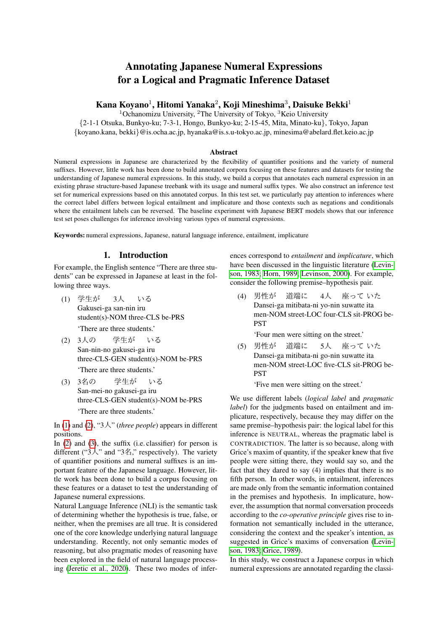# <span id="page-0-3"></span>Annotating Japanese Numeral Expressions for a Logical and Pragmatic Inference Dataset

# Kana Koyano $^1$ , Hitomi Yanaka $^2$ , Koji Mineshima $^3$ , Daisuke Bekki $^1$

<sup>1</sup>Ochanomizu University, <sup>2</sup>The University of Tokyo, <sup>3</sup>Keio University

{2-1-1 Otsuka, Bunkyo-ku; 7-3-1, Hongo, Bunkyo-ku; 2-15-45, Mita, Minato-ku}, Tokyo, Japan {koyano.kana, bekki}@is.ocha.ac.jp, hyanaka@is.s.u-tokyo.ac.jp, minesima@abelard.flet.keio.ac.jp

### Abstract

Numeral expressions in Japanese are characterized by the flexibility of quantifier positions and the variety of numeral suffixes. However, little work has been done to build annotated corpora focusing on these features and datasets for testing the understanding of Japanese numeral expressions. In this study, we build a corpus that annotates each numeral expression in an existing phrase structure-based Japanese treebank with its usage and numeral suffix types. We also construct an inference test set for numerical expressions based on this annotated corpus. In this test set, we particularly pay attention to inferences where the correct label differs between logical entailment and implicature and those contexts such as negations and conditionals where the entailment labels can be reversed. The baseline experiment with Japanese BERT models shows that our inference test set poses challenges for inference involving various types of numeral expressions.

Keywords: numeral expressions, Japanese, natural language inference, entailment, implicature

## 1. Introduction

For example, the English sentence "There are three students" can be expressed in Japanese at least in the following three ways.

- <span id="page-0-0"></span>(1) <sup>学</sup>生<sup>が</sup> Gakusei-ga san-nin iru 3人 いる student(s)-NOM three-CLS be-PRS 'There are three students.'
- <span id="page-0-1"></span>(2) 3人の San-nin-no gakusei-ga iru <sup>学</sup>生<sup>が</sup> いる three-CLS-GEN student(s)-NOM be-PRS 'There are three students.'
- <span id="page-0-2"></span>(3) 3名の San-mei-no gakusei-ga iru <sup>学</sup>生<sup>が</sup> いる three-CLS-GEN student(s)-NOM be-PRS 'There are three students.'

In [\(1\)](#page-0-0) and [\(2\)](#page-0-1), "3人" (*three people*) appears in different positions.

In  $(2)$  and  $(3)$ , the suffix  $(i.e.$  classifier) for person is different (" $3\lambda$ " and " $3\AA$ ", respectively). The variety of quantifier positions and numeral suffixes is an important feature of the Japanese language. However, little work has been done to build a corpus focusing on these features or a dataset to test the understanding of Japanese numeral expressions.

Natural Language Inference (NLI) is the semantic task of determining whether the hypothesis is true, false, or neither, when the premises are all true. It is considered one of the core knowledge underlying natural language understanding. Recently, not only semantic modes of reasoning, but also pragmatic modes of reasoning have been explored in the field of natural language processing [\(Jeretic et al., 2020\)](#page-5-0). These two modes of inferences correspond to *entailment* and *implicature*, which have been discussed in the linguistic literature [\(Levin](#page-5-1)[son, 1983;](#page-5-1) [Horn, 1989;](#page-5-2) [Levinson, 2000\)](#page-5-3). For example, consider the following premise–hypothesis pair.

(4) 男性<sup>が</sup> Dansei-ga mitibata-ni yo-nin suwatte ita <sup>道</sup>端<sup>に</sup> 4人 座って いた<br>suwatte ita men-NOM street-LOC four-CLS sit-PROG be-**PST** 

'Four men were sitting on the street.'

(5) 男性<sup>が</sup> Dansei-ga mitibata-ni go-nin suwatte ita <sup>道</sup>端<sup>に</sup> 5人 座って いた<br>suwatte ita men-NOM street-LOC five-CLS sit-PROG be-**PST** 

'Five men were sitting on the street.'

We use different labels (*logical label* and *pragmatic label*) for the judgments based on entailment and implicature, respectively, because they may differ on the same premise–hypothesis pair: the logical label for this inference is NEUTRAL, whereas the pragmatic label is CONTRADICTION. The latter is so because, along with Grice's maxim of quantity, if the speaker knew that five people were sitting there, they would say so, and the fact that they dared to say (4) implies that there is no fifth person. In other words, in entailment, inferences are made only from the semantic information contained in the premises and hypothesis. In implicature, however, the assumption that normal conversation proceeds according to the *co-operative principle* gives rise to information not semantically included in the utterance, considering the context and the speaker's intention, as suggested in Grice's maxims of conversation [\(Levin](#page-5-1)[son, 1983;](#page-5-1) [Grice, 1989\)](#page-5-4).

In this study, we construct a Japanese corpus in which numeral expressions are annotated regarding the classi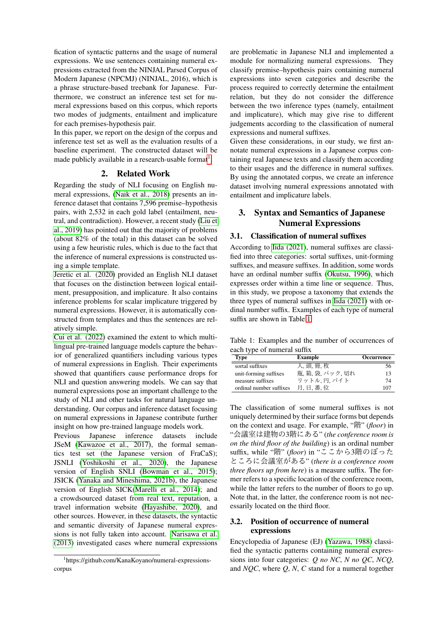fication of syntactic patterns and the usage of numeral expressions. We use sentences containing numeral expressions extracted from the NINJAL Parsed Corpus of Modern Japanese (NPCMJ) (NINJAL, 2016), which is a phrase structure-based treebank for Japanese. Furthermore, we construct an inference test set for numeral expressions based on this corpus, which reports two modes of judgments, entailment and implicature for each premises-hypothesis pair.

In this paper, we report on the design of the corpus and inference test set as well as the evaluation results of a baseline experiment. The constructed dataset will be made publicly available in a research-usable format<sup>[1](#page-0-3)</sup>.

## 2. Related Work

Regarding the study of NLI focusing on English numeral expressions, [\(Naik et al., 2018\)](#page-5-5) presents an inference dataset that contains 7,596 premise–hypothesis pairs, with 2,532 in each gold label (entailment, neutral, and contradiction). However, a recent study [\(Liu et](#page-5-6) [al., 2019\)](#page-5-6) has pointed out that the majority of problems (about 82% of the total) in this dataset can be solved using a few heuristic rules, which is due to the fact that the inference of numeral expressions is constructed using a simple template.

[Jeretic et al. \(2020\)](#page-5-0) provided an English NLI dataset that focuses on the distinction between logical entailment, presupposition, and implicature. It also contains inference problems for scalar implicature triggered by numeral expressions. However, it is automatically constructed from templates and thus the sentences are relatively simple.

[Cui et al. \(2022\)](#page-4-0) examined the extent to which multilingual pre-trained language models capture the behavior of generalized quantifiers including various types of numeral expressions in English. Their experiments showed that quantifiers cause performance drops for NLI and question answering models. We can say that numeral expressions pose an important challenge to the study of NLI and other tasks for natural language understanding. Our corpus and inference dataset focusing on numeral expressions in Japanese contribute further insight on how pre-trained language models work.

Previous Japanese inference datasets include JSeM [\(Kawazoe et al., 2017\)](#page-5-7), the formal semantics test set (the Japanese version of FraCaS); JSNLI [\(Yoshikoshi et al., 2020\)](#page-5-8), the Japanese version of English SNLI [\(Bowman et al., 2015\)](#page-4-1); JSICK [\(Yanaka and Mineshima, 2021b\)](#page-5-9), the Japanese version of English SICK[\(Marelli et al., 2014\)](#page-5-10); and a crowdsourced dataset from real text, reputation, a travel information website [\(Hayashibe, 2020\)](#page-5-11), and other sources. However, in these datasets, the syntactic and semantic diversity of Japanese numeral expressions is not fully taken into account. [Narisawa et al.](#page-5-12) [\(2013\)](#page-5-12) investigated cases where numeral expressions

are problematic in Japanese NLI and implemented a module for normalizing numeral expressions. They classify premise–hypothesis pairs containing numeral expressions into seven categories and describe the process required to correctly determine the entailment relation, but they do not consider the difference between the two inference types (namely, entailment and implicature), which may give rise to different judgements according to the classification of numeral expressions and numeral suffixes.

Given these considerations, in our study, we first annotate numeral expressions in a Japanese corpus containing real Japanese texts and classify them according to their usages and the difference in numeral suffixes. By using the annotated corpus, we create an inference dataset involving numeral expressions annotated with entailment and implicature labels.

# <span id="page-1-1"></span>3. Syntax and Semantics of Japanese Numeral Expressions

## 3.1. Classification of numeral suffixes

According to [Iida \(2021\)](#page-5-13), numeral suffixes are classified into three categories: sortal suffixes, unit-forming suffixes, and measure suffixes. In addition, some words have an ordinal number suffix [\(Okutsu, 1996\)](#page-5-14), which expresses order within a time line or sequence. Thus, in this study, we propose a taxonomy that extends the three types of numeral suffixes in [Iida \(2021\)](#page-5-13) with ordinal number suffix. Examples of each type of numeral suffix are shown in Table [1.](#page-1-0)

<span id="page-1-0"></span>Table 1: Examples and the number of occurrences of each type of numeral suffix

| <b>Type</b>             | <b>Example</b>   | <b>Occurrence</b> |
|-------------------------|------------------|-------------------|
| sortal suffixes         | 人.頭.冊.枚          | 56                |
| unit-forming suffixes   | 瓶, 箱, 袋, パック, 切れ | 13                |
| measure suffixes        | リットル. 円. バイト     | 74                |
| ordinal number suffixes | 月.日.番.位          | 107               |
|                         |                  |                   |

The classification of some numeral suffixes is not uniquely determined by their surface forms but depends on the context and usage. For example, "階" (*floor*) in "会議室は建物の3階にある" (*the conference room is on the third floor of the building*) is an ordinal number suffix, while "階" (*floor*) in "ここから3階のぼった ところに会議室がある" (*there is a conference room three floors up from here*) is a measure suffix. The former refers to a specific location of the conference room, while the latter refers to the number of floors to go up. Note that, in the latter, the conference room is not necessarily located on the third floor.

# 3.2. Position of occurrence of numeral expressions

Encyclopedia of Japanese (EJ) [\(Yazawa, 1988\)](#page-5-15) classified the syntactic patterns containing numeral expressions into four categories: *Q no NC*, *N no QC*, *NCQ*, and *NQC*, where *Q*, *N*, *C* stand for a numeral together

<sup>1</sup> https://github.com/KanaKoyano/numeral-expressionscorpus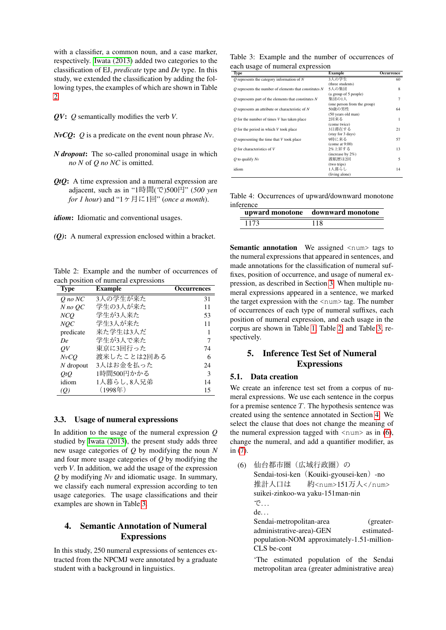with a classifier, a common noun, and a case marker, respectively. [Iwata \(2013\)](#page-5-16) added two categories to the classification of EJ, *predicate* type and *De* type. In this study, we extended the classification by adding the following types, the examples of which are shown in Table [2.](#page-2-0)

*QV*: *Q* semantically modifies the verb *V*.

*NvCQ*: *Q* is a predicate on the event noun phrase *Nv*.

- *N dropout*: The so-called pronominal usage in which *no N* of *Q no NC* is omitted.
- *QtQ*: A time expression and a numeral expression are adjacent, such as in "1時間(で)500円" (*500 yen for 1 hour*) and "1ヶ月に1回" (*once a month*).

*idiom*: Idiomatic and conventional usages.

*(Q)*: A numeral expression enclosed within a bracket.

<span id="page-2-0"></span>Table 2: Example and the number of occurrences of each position of numeral expressions

| <b>Type</b> | Example        | <b>Occurrences</b> |
|-------------|----------------|--------------------|
| $O$ no $NC$ | 3人の学生が来た       | 31                 |
| $N$ no $OC$ | 学生の3人が来た       | 11                 |
| NCO         | 学生が3人来た        | 53                 |
| NOC         | 学生3人が来た        | 11                 |
| predicate   | 来た学生は3人だ       |                    |
| De          | 学生が3人で来た       | 7                  |
| ΟV          | 東京に3回行った       | 74                 |
| NvCO        | 渡米したことは2回ある    | 6                  |
| $N$ dropout | 3人はお金を払った      | 24                 |
| <i>OtO</i>  | 1時間500円かかる     | 3                  |
| idiom       | 1人暮らし,8人兄弟     | 14                 |
| (Q)         | $(1998 \pm 1)$ | 15                 |
|             |                |                    |

### 3.3. Usage of numeral expressions

In addition to the usage of the numeral expression *Q* studied by [Iwata \(2013\)](#page-5-16), the present study adds three new usage categories of *Q* by modifying the noun *N* and four more usage categories of *Q* by modifying the verb *V*. In addition, we add the usage of the expression *Q* by modifying *Nv* and idiomatic usage. In summary, we classify each numeral expression according to ten usage categories. The usage classifications and their examples are shown in Table [3.](#page-2-1)

# <span id="page-2-2"></span>4. Semantic Annotation of Numeral **Expressions**

In this study, 250 numeral expressions of sentences extracted from the NPCMJ were annotated by a graduate student with a background in linguistics.

<span id="page-2-1"></span>Table 3: Example and the number of occurrences of each usage of numeral expression

| ັ<br>ı<br>Type                                             | Example                     | Occurrence     |
|------------------------------------------------------------|-----------------------------|----------------|
| $Q$ represents the category information of $N$             | 3人の学生                       | 60             |
|                                                            | (three students)            |                |
| $O$ represents the number of elements that constitutes $N$ | 5人の集団                       | 8              |
|                                                            | (a group of 5 people)       |                |
| $O$ represents part of the elements that constitutes $N$   | 集団の1人                       | $\overline{7}$ |
|                                                            | (one person from the group) |                |
| $O$ represents an attribute or characteristic of $N$       | 50歳の男性                      | 64             |
|                                                            | (50 years old man)          |                |
| $O$ for the number of times $V$ has taken place            | 2回来る                        | 1              |
|                                                            | (come twice)                |                |
| $Q$ for the period in which $V$ took place                 | 3日滞在する                      | 21             |
|                                                            | (stay for 3 days)           |                |
| $O$ representing the time that $V$ took place              | 9時に来る                       | 57             |
|                                                            | (come at 9:00)              |                |
| $Q$ for characteristics of $V$                             | 2%上昇する                      | 13             |
|                                                            | (increase by 2%)            |                |
| $Q$ to qualify $Nv$                                        | 渡航歴は2回                      | 5              |
|                                                            | (two trips)                 |                |
| idiom                                                      | 1人暮らし                       | 14             |
|                                                            | (living alone)              |                |

<span id="page-2-4"></span>Table 4: Occurrences of upward/downward monotone inference

|      | upward monotone downward monotone |  |  |
|------|-----------------------------------|--|--|
| 1173 | 118                               |  |  |

Semantic annotation We assigned <num> tags to the numeral expressions that appeared in sentences, and made annotations for the classification of numeral suffixes, position of occurrence, and usage of numeral expression, as described in Section [3.](#page-1-1) When multiple numeral expressions appeared in a sentence, we marked the target expression with the  $\langle \text{num} \rangle$  tag. The number of occurrences of each type of numeral suffixes, each position of numeral expression, and each usage in the corpus are shown in Table [1,](#page-1-0) Table [2,](#page-2-0) and Table [3,](#page-2-1) respectively.

# 5. Inference Test Set of Numeral Expressions

# 5.1. Data creation

We create an inference test set from a corpus of numeral expressions. We use each sentence in the corpus for a premise sentence  $T$ . The hypothesis sentence was created using the sentence annotated in Section [4.](#page-2-2) We select the clause that does not change the meaning of the numeral expression tagged with  $\langle \text{num} \rangle$  as in [\(6\)](#page-2-3), change the numeral, and add a quantifier modifier, as in [\(7\)](#page-3-0).

<span id="page-2-3"></span>(6) <sup>仙</sup>台都市圏(広域行政圏)<sup>の</sup> Sendai-tosi-ken (Kouiki-gyousei-ken) -no <sup>推</sup>計人口<sup>は</sup> suikei-zinkoo-wa yaku-151man-nin 約<num>151万人</num> で. . . de. . . Sendai-metropolitan-area (greateradministrative-area)-GEN estimatedpopulation-NOM approximately-1.51-million-CLS be-cont

'The estimated population of the Sendai metropolitan area (greater administrative area)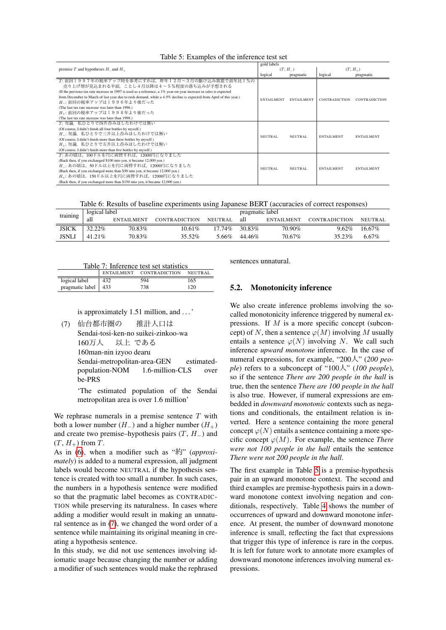<span id="page-3-1"></span>

|                                                                                                                    | gold labels    |                   |                      |                      |
|--------------------------------------------------------------------------------------------------------------------|----------------|-------------------|----------------------|----------------------|
| premise T and hypotheses $H_$ and $H_+$                                                                            |                | $(T, H_{-})$      |                      | $(T, H_+)$           |
|                                                                                                                    | logical        | pragmatic         | logical              | pragmatic            |
| T: 前回1997年の税率アップ時を参考にすれば、昨年12月~3月の駆け込み需要で前年比1%の                                                                    |                |                   |                      |                      |
| 売り上げ増が見込まれる半面、ことし4月以降は4~5%程度の落ち込みが予想される                                                                            |                |                   |                      |                      |
| (If the previous tax rate increase in 1997 is used as a reference, a 1% year-on-year increase in sales is expected |                |                   |                      |                      |
| from December to March of last year due to rush demand, while a 4-5% decline is expected from April of this year.) | ENTAILMENT     | <b>ENTAILMENT</b> | <b>CONTRADICTION</b> | <b>CONTRADICTION</b> |
| H_: 前回の税率アップは1996年より後だった                                                                                           |                |                   |                      |                      |
| (The last tax rate increase was later than 1996.)                                                                  |                |                   |                      |                      |
| H <sub>+</sub> : 前回の税率アップは1998年より後だった                                                                              |                |                   |                      |                      |
| (The last tax rate increase was later than 1998.)                                                                  |                |                   |                      |                      |
| T: 勿論、私ひとりで四升呑みほしたわけでは無い                                                                                           |                |                   |                      |                      |
| (Of course, I didn't finish all four bottles by myself.)                                                           |                |                   |                      |                      |
| H: 勿論、私ひとりで三升以上呑みほしたわけでは無い                                                                                         | <b>NEUTRAL</b> | <b>NEUTRAL</b>    | <b>ENTAILMENT</b>    | <b>ENTAILMENT</b>    |
| (Of course, I didn't finish more than three bottles by myself.)                                                    |                |                   |                      |                      |
| H <sub>+</sub> : 勿論、私ひとりで五升以上呑みほしたわけでは無い                                                                           |                |                   |                      |                      |
| (Of course, I didn't finish more than five bottles by myself.)                                                     |                |                   |                      |                      |
| T: あの頃は、100ドルを円に両替すれば、12000円になりました                                                                                 |                |                   |                      |                      |
| (Back then, if you exchanged \$100 into yen, it became 12,000 yen.)                                                |                |                   |                      |                      |
| H_: あの頃は、50ドル以上を円に両替すれば、12000円になりました                                                                               | NEUTRAL        | NEUTRAL           | <b>ENTAILMENT</b>    | <b>ENTAILMENT</b>    |
| (Back then, if you exchanged more than \$50 into yen, it became 12,000 yen.)                                       |                |                   |                      |                      |
| H <sub>+</sub> : あの頃は、150ドル以上を円に両替すれば、12000円になりました                                                                 |                |                   |                      |                      |
| (Back then, if you exchanged more than \$150 into yen, it became 12,000 yen.)                                      |                |                   |                      |                      |

Table 6: Results of baseline experiments using Japanese BERT (accuracies of correct responses)

<span id="page-3-3"></span>

| training     | logical label |                   |                      | pragmatic label |           |                   |                      |          |
|--------------|---------------|-------------------|----------------------|-----------------|-----------|-------------------|----------------------|----------|
|              | all           | <b>ENTAILMENT</b> | <b>CONTRADICTION</b> | NEUTRAL         | all       | <b>ENTAILMENT</b> | <b>CONTRADICTION</b> | NEITRAL  |
| <b>JSICK</b> | $32.22\%$     | 70.83%            | $10.61\%$            | $17.74\%$       | 30.83%    | 70.90%            | $9.62\%$             | 16.67%   |
| <b>JSNLI</b> | $41.21\%$     | 70.83%            | 35.52%               | 5.66%           | $44.46\%$ | 70.67%            | 35.23%               | $6.67\%$ |

|  | Table 7: Inference test set statistics |  |  |
|--|----------------------------------------|--|--|
|  |                                        |  |  |

<span id="page-3-2"></span>

|                       |     | ENTAILMENT CONTRADICTION NEUTRAL |     |
|-----------------------|-----|----------------------------------|-----|
| logical label         | 432 | 594                              | 165 |
| pragmatic label   433 |     | 738                              | 120 |
|                       |     |                                  |     |

is approximately 1.51 million, and . . . '

<span id="page-3-0"></span>(7) <sup>仙</sup>台都市圏<sup>の</sup> Sendai-tosi-ken-no suikei-zinkoo-wa <sup>推</sup>計人口<sup>は</sup> 160万人 160man-nin izyoo dearu 以上 である Sendai-metropolitan-area-GEN estimatedpopulation-NOM 1.6-million-CLS over be-PRS

> 'The estimated population of the Sendai metropolitan area is over 1.6 million'

We rephrase numerals in a premise sentence  $T$  with both a lower number  $(H_+)$  and a higher number  $(H_+)$ and create two premise–hypothesis pairs  $(T, H<sub>-</sub>)$  and  $(T, H_+)$  from T.

As in [\(6\)](#page-2-3), when a modifier such as "約" (*approximately*) is added to a numeral expression, all judgment labels would become NEUTRAL if the hypothesis sentence is created with too small a number. In such cases, the numbers in a hypothesis sentence were modified so that the pragmatic label becomes as CONTRADIC-TION while preserving its naturalness. In cases where adding a modifier would result in making an unnatural sentence as in [\(7\)](#page-3-0), we changed the word order of a sentence while maintaining its original meaning in creating a hypothesis sentence.

In this study, we did not use sentences involving idiomatic usage because changing the number or adding a modifier of such sentences would make the rephrased sentences unnatural.

### 5.2. Monotonicity inference

We also create inference problems involving the socalled monotonicity inference triggered by numeral expressions. If M is a more specific concept (subconcept) of N, then a sentence  $\varphi(M)$  involving M usually entails a sentence  $\varphi(N)$  involving N. We call such inference *upward monotone* inference. In the case of numeral expressions, for example, "200人" (*200 people*) refers to a subconcept of "100人" (*100 people*), so if the sentence *There are 200 people in the hall* is true, then the sentence *There are 100 people in the hall* is also true. However, if numeral expressions are embedded in *downward monotonic* contexts such as negations and conditionals, the entailment relation is inverted. Here a sentence containing the more general concept  $\varphi(N)$  entails a sentence containing a more specific concept  $\varphi(M)$ . For example, the sentence *There were not 100 people in the hall* entails the sentence *There were not 200 people in the hall*.

The first example in Table [5](#page-3-1) is a premise-hypothesis pair in an upward monotone context. The second and third examples are premise-hypothesis pairs in a downward monotone context involving negation and conditionals, respectively. Table [4](#page-2-4) shows the number of occurrences of upward and downward monotone inference. At present, the number of downward monotone inference is small, reflecting the fact that expressions that trigger this type of inference is rare in the corpus. It is left for future work to annotate more examples of downward monotone inferences involving numeral expressions.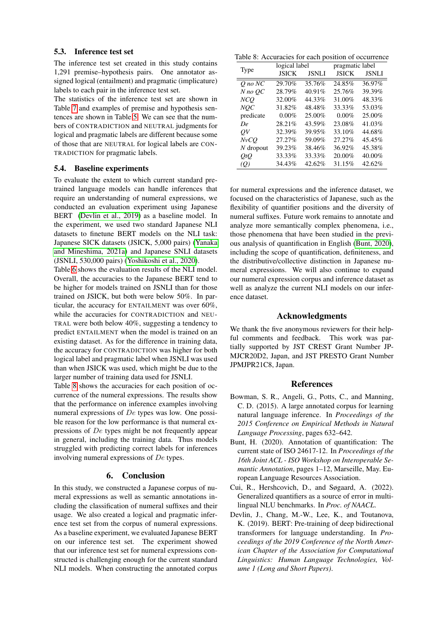#### 5.3. Inference test set

The inference test set created in this study contains 1,291 premise–hypothesis pairs. One annotator assigned logical (entailment) and pragmatic (implicature) labels to each pair in the inference test set.

The statistics of the inference test set are shown in Table [7](#page-3-2) and examples of premise and hypothesis sentences are shown in Table [5.](#page-3-1) We can see that the numbers of CONTRADICTION and NEUTRAL judgments for logical and pragmatic labels are different because some of those that are NEUTRAL for logical labels are CON-TRADICTION for pragmatic labels.

#### 5.4. Baseline experiments

To evaluate the extent to which current standard pretrained language models can handle inferences that require an understanding of numeral expressions, we conducted an evaluation experiment using Japanese BERT [\(Devlin et al., 2019\)](#page-4-2) as a baseline model. In the experiment, we used two standard Japanese NLI datasets to finetune BERT models on the NLI task: Japanese SICK datasets (JSICK, 5,000 pairs) [\(Yanaka](#page-5-17) [and Mineshima, 2021a\)](#page-5-17) and Japanese SNLI datasets (JSNLI, 530,000 pairs) [\(Yoshikoshi et al., 2020\)](#page-5-8).

Table [6](#page-3-3) shows the evaluation results of the NLI model. Overall, the accuracies to the Japanese BERT tend to be higher for models trained on JSNLI than for those trained on JSICK, but both were below 50%. In particular, the accuracy for ENTAILMENT was over 60%, while the accuracies for CONTRADICTION and NEU-TRAL were both below 40%, suggesting a tendency to predict ENTAILMENT when the model is trained on an existing dataset. As for the difference in training data, the accuracy for CONTRADICTION was higher for both logical label and pragmatic label when JSNLI was used than when JSICK was used, which might be due to the larger number of training data used for JSNLI.

Table [8](#page-4-3) shows the accuracies for each position of occurrence of the numeral expressions. The results show that the performance on inference examples involving numeral expressions of De types was low. One possible reason for the low performance is that numeral expressions of De types might be not frequently appear in general, including the training data. Thus models struggled with predicting correct labels for inferences involving numeral expressions of De types.

### 6. Conclusion

In this study, we constructed a Japanese corpus of numeral expressions as well as semantic annotations including the classification of numeral suffixes and their usage. We also created a logical and pragmatic inference test set from the corpus of numeral expressions. As a baseline experiment, we evaluated Japanese BERT on our inference test set. The experiment showed that our inference test set for numeral expressions constructed is challenging enough for the current standard NLI models. When constructing the annotated corpus

<span id="page-4-3"></span>Table 8: Accuracies for each position of occurrence

|             | logical label |              | pragmatic label |              |  |
|-------------|---------------|--------------|-----------------|--------------|--|
| Type        | <b>JSICK</b>  | <b>JSNLI</b> | <b>JSICK</b>    | <b>JSNLI</b> |  |
| $Q$ no $NC$ | 29.70%        | 35.76%       | 24.85%          | 36.97%       |  |
| $N$ no $OC$ | 28.79%        | 40.91%       | 25.76%          | 39.39%       |  |
| NCQ         | 32.00%        | 44.33%       | 31.00%          | 48.33%       |  |
| NOC         | 31.82%        | 48.48%       | 33.33%          | 53.03%       |  |
| predicate   | $0.00\%$      | 25.00%       | $0.00\%$        | 25.00%       |  |
| De          | 28.21%        | 43.59%       | 23.08%          | 41.03%       |  |
| OV          | 32.39%        | 39.95%       | 33.10%          | 44.68%       |  |
| NvCO        | 27.27%        | 59.09%       | 27.27%          | 45.45%       |  |
| $N$ dropout | 39.23%        | 38.46%       | 36.92%          | 45.38%       |  |
| OtO         | 33.33%        | 33.33%       | 20.00%          | 40.00%       |  |
| (Q)         | 34.43%        | 42.62%       | 31.15%          | 42.62%       |  |

for numeral expressions and the inference dataset, we focused on the characteristics of Japanese, such as the flexibility of quantifier positions and the diversity of numeral suffixes. Future work remains to annotate and analyze more semantically complex phenomena, i.e., those phenomena that have been studied in the previous analysis of quantification in English [\(Bunt, 2020\)](#page-4-4), including the scope of quantification, definiteness, and the distributive/collective distinction in Japanese numeral expressions. We will also continue to expand our numeral expression corpus and inference dataset as well as analyze the current NLI models on our inference dataset.

### Acknowledgments

We thank the five anonymous reviewers for their helpful comments and feedback. This work was partially supported by JST CREST Grant Number JP-MJCR20D2, Japan, and JST PRESTO Grant Number JPMJPR21C8, Japan.

### References

- <span id="page-4-1"></span>Bowman, S. R., Angeli, G., Potts, C., and Manning, C. D. (2015). A large annotated corpus for learning natural language inference. In *Proceedings of the 2015 Conference on Empirical Methods in Natural Language Processing*, pages 632–642.
- <span id="page-4-4"></span>Bunt, H. (2020). Annotation of quantification: The current state of ISO 24617-12. In *Proceedings of the 16th Joint ACL - ISO Workshop on Interoperable Semantic Annotation*, pages 1–12, Marseille, May. European Language Resources Association.
- <span id="page-4-0"></span>Cui, R., Hershcovich, D., and Søgaard, A. (2022). Generalized quantifiers as a source of error in multilingual NLU benchmarks. In *Proc. of NAACL*.
- <span id="page-4-2"></span>Devlin, J., Chang, M.-W., Lee, K., and Toutanova, K. (2019). BERT: Pre-training of deep bidirectional transformers for language understanding. In *Proceedings of the 2019 Conference of the North American Chapter of the Association for Computational Linguistics: Human Language Technologies, Volume 1 (Long and Short Papers)*.